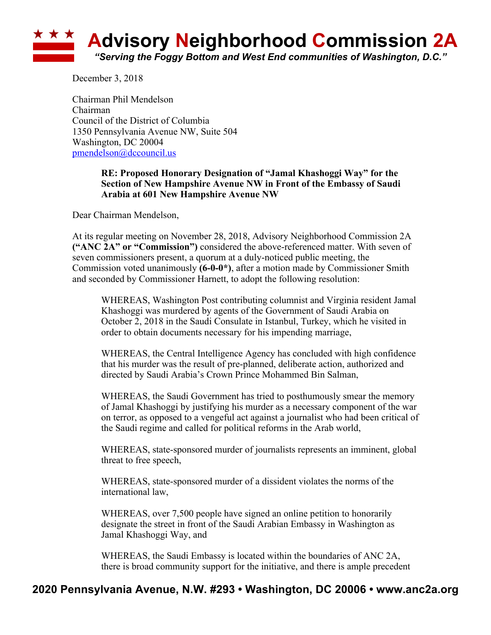

December 3, 2018

Chairman Phil Mendelson Chairman Council of the District of Columbia 1350 Pennsylvania Avenue NW, Suite 504 Washington, DC 20004 pmendelson@dccouncil.us

## **RE: Proposed Honorary Designation of "Jamal Khashoggi Way" for the Section of New Hampshire Avenue NW in Front of the Embassy of Saudi Arabia at 601 New Hampshire Avenue NW**

Dear Chairman Mendelson,

At its regular meeting on November 28, 2018, Advisory Neighborhood Commission 2A **("ANC 2A" or "Commission")** considered the above-referenced matter. With seven of seven commissioners present, a quorum at a duly-noticed public meeting, the Commission voted unanimously **(6-0-0\*)**, after a motion made by Commissioner Smith and seconded by Commissioner Harnett, to adopt the following resolution:

WHEREAS, Washington Post contributing columnist and Virginia resident Jamal Khashoggi was murdered by agents of the Government of Saudi Arabia on October 2, 2018 in the Saudi Consulate in Istanbul, Turkey, which he visited in order to obtain documents necessary for his impending marriage,

WHEREAS, the Central Intelligence Agency has concluded with high confidence that his murder was the result of pre-planned, deliberate action, authorized and directed by Saudi Arabia's Crown Prince Mohammed Bin Salman,

WHEREAS, the Saudi Government has tried to posthumously smear the memory of Jamal Khashoggi by justifying his murder as a necessary component of the war on terror, as opposed to a vengeful act against a journalist who had been critical of the Saudi regime and called for political reforms in the Arab world,

WHEREAS, state-sponsored murder of journalists represents an imminent, global threat to free speech,

WHEREAS, state-sponsored murder of a dissident violates the norms of the international law,

WHEREAS, over 7,500 people have signed an online petition to honorarily designate the street in front of the Saudi Arabian Embassy in Washington as Jamal Khashoggi Way, and

WHEREAS, the Saudi Embassy is located within the boundaries of ANC 2A, there is broad community support for the initiative, and there is ample precedent

## **2020 Pennsylvania Avenue, N.W. #293 • Washington, DC 20006 • www.anc2a.org**